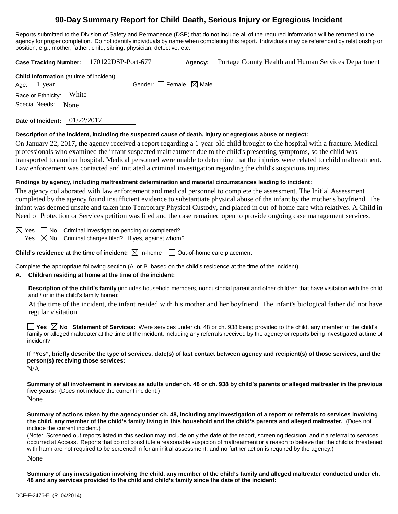# **90-Day Summary Report for Child Death, Serious Injury or Egregious Incident**

Reports submitted to the Division of Safety and Permanence (DSP) that do not include all of the required information will be returned to the agency for proper completion. Do not identify individuals by name when completing this report. Individuals may be referenced by relationship or position; e.g., mother, father, child, sibling, physician, detective, etc.

| Case Tracking Number: 170122DSP-Port-677                      |                                 | Agency: | Portage County Health and Human Services Department |
|---------------------------------------------------------------|---------------------------------|---------|-----------------------------------------------------|
| <b>Child Information</b> (at time of incident)<br>Age: 1 year | Gender: Female $\boxtimes$ Male |         |                                                     |
| Race or Ethnicity: White                                      |                                 |         |                                                     |
| Special Needs: None                                           |                                 |         |                                                     |
| 01/22/2017<br>Date of Incident:                               |                                 |         |                                                     |

#### **Description of the incident, including the suspected cause of death, injury or egregious abuse or neglect:**

On January 22, 2017, the agency received a report regarding a 1-year-old child brought to the hospital with a fracture. Medical professionals who examined the infant suspected maltreatment due to the child's presenting symptoms, so the child was transported to another hospital. Medical personnel were unable to determine that the injuries were related to child maltreatment. Law enforcement was contacted and initiated a criminal investigation regarding the child's suspicious injuries.

#### **Findings by agency, including maltreatment determination and material circumstances leading to incident:**

The agency collaborated with law enforcement and medical personnel to complete the assessment. The Initial Assessment completed by the agency found insufficient evidence to substantiate physical abuse of the infant by the mother's boyfriend. The infant was deemed unsafe and taken into Temporary Physical Custody, and placed in out-of-home care with relatives. A Child in Need of Protection or Services petition was filed and the case remained open to provide ongoing case management services.

 $\boxtimes$  Yes  $\Box$  No Criminal investigation pending or completed?  $\Box$  Yes  $\boxtimes$  No Criminal charges filed? If yes, against whom?

**Child's residence at the time of incident:**  $\boxtimes$  In-home  $\Box$  Out-of-home care placement

Complete the appropriate following section (A. or B. based on the child's residence at the time of the incident).

### **A. Children residing at home at the time of the incident:**

**Description of the child's family** (includes household members, noncustodial parent and other children that have visitation with the child and / or in the child's family home):

At the time of the incident, the infant resided with his mother and her boyfriend. The infant's biological father did not have regular visitation.

**Yes No** Statement of Services: Were services under ch. 48 or ch. 938 being provided to the child, any member of the child's family or alleged maltreater at the time of the incident, including any referrals received by the agency or reports being investigated at time of incident?

**If "Yes", briefly describe the type of services, date(s) of last contact between agency and recipient(s) of those services, and the person(s) receiving those services:**

N/A

**Summary of all involvement in services as adults under ch. 48 or ch. 938 by child's parents or alleged maltreater in the previous five years:** (Does not include the current incident.)

None

**Summary of actions taken by the agency under ch. 48, including any investigation of a report or referrals to services involving the child, any member of the child's family living in this household and the child's parents and alleged maltreater.** (Does not include the current incident.)

(Note: Screened out reports listed in this section may include only the date of the report, screening decision, and if a referral to services occurred at Access. Reports that do not constitute a reasonable suspicion of maltreatment or a reason to believe that the child is threatened with harm are not required to be screened in for an initial assessment, and no further action is required by the agency.)

None

**Summary of any investigation involving the child, any member of the child's family and alleged maltreater conducted under ch. 48 and any services provided to the child and child's family since the date of the incident:**